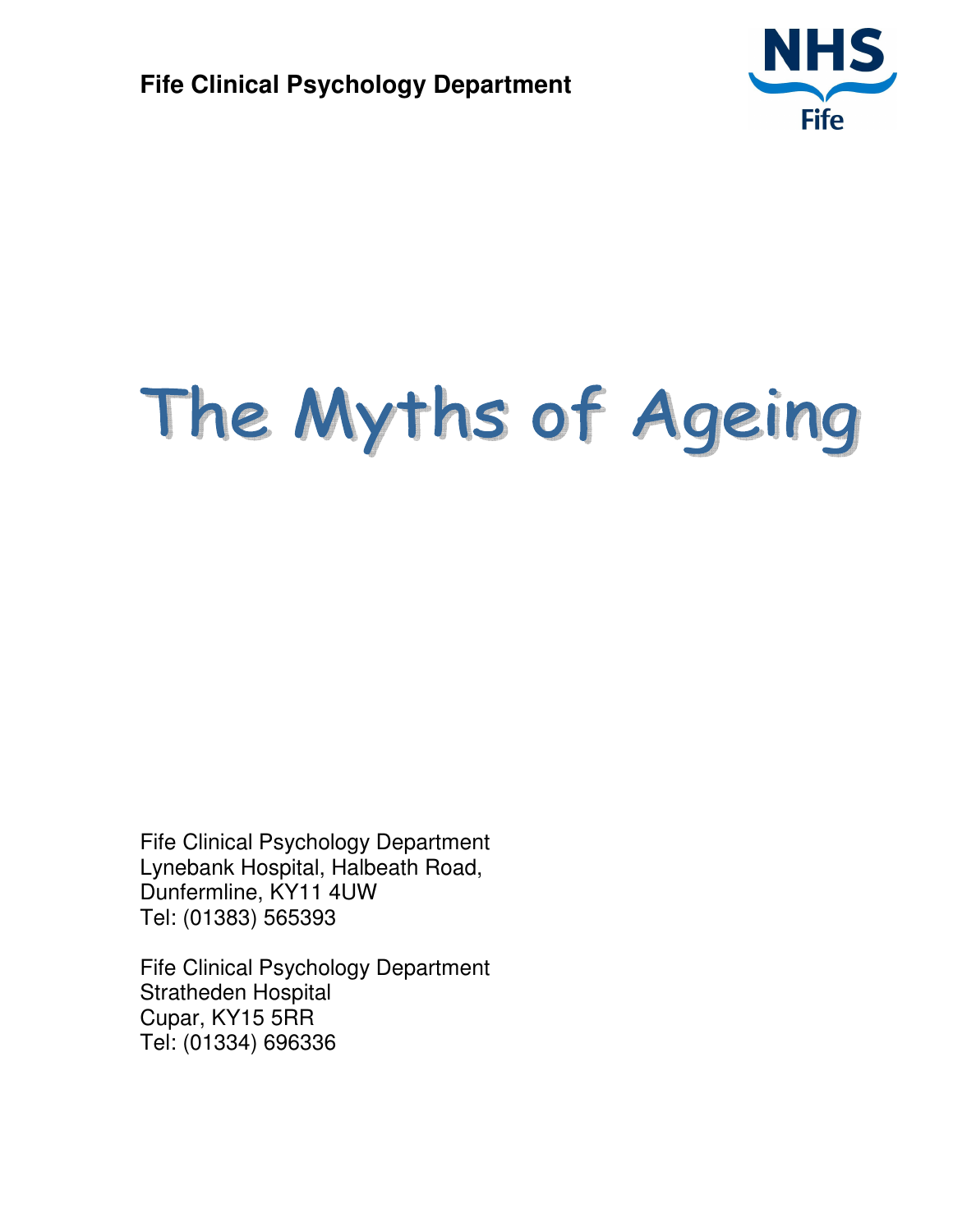

# The Myths of Ageing

Fife Clinical Psychology Department Lynebank Hospital, Halbeath Road, Dunfermline, KY11 4UW Tel: (01383) 565393

Fife Clinical Psychology Department Stratheden Hospital Cupar, KY15 5RR Tel: (01334) 696336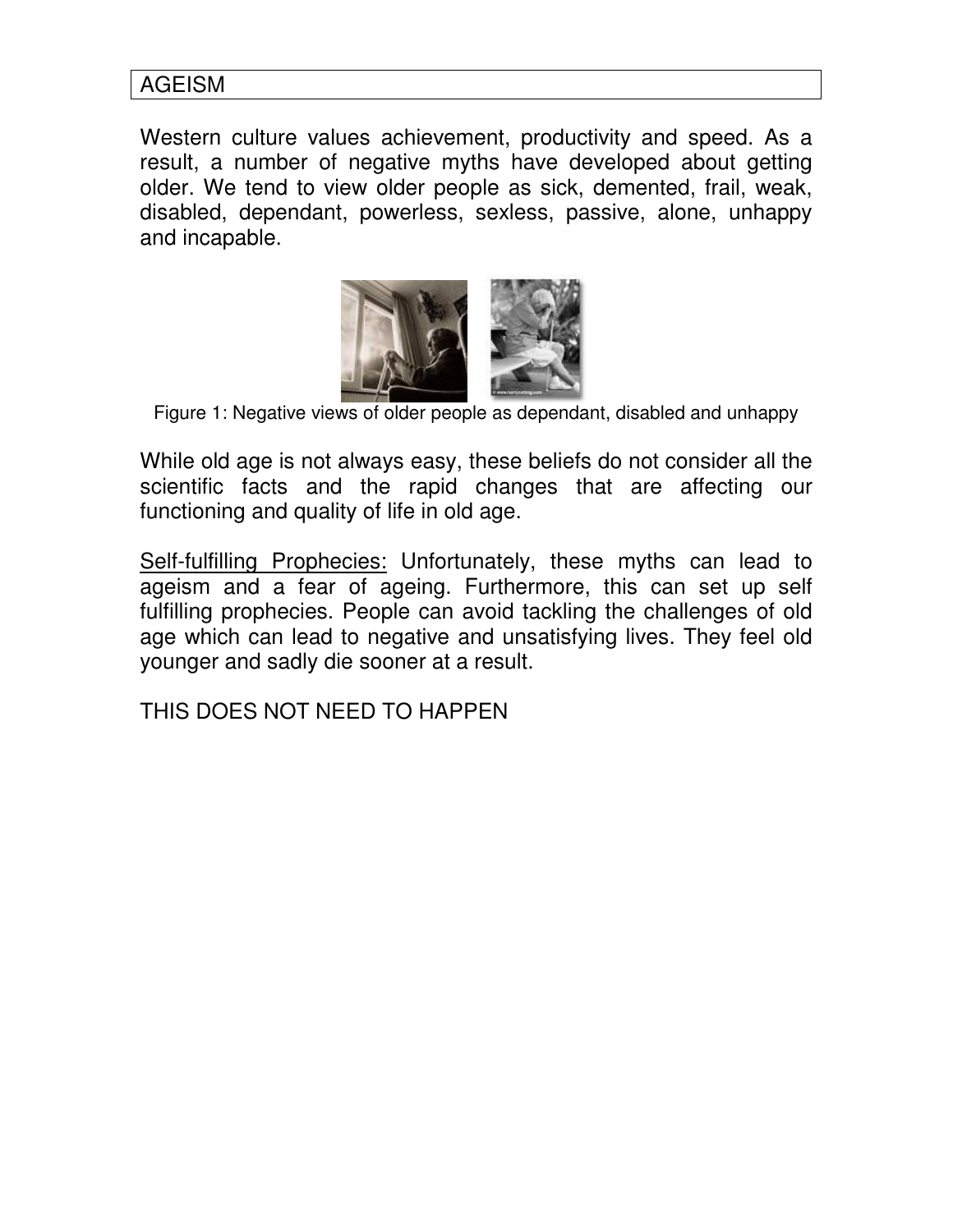#### AGEISM

Western culture values achievement, productivity and speed. As a result, a number of negative myths have developed about getting older. We tend to view older people as sick, demented, frail, weak, disabled, dependant, powerless, sexless, passive, alone, unhappy and incapable.



Figure 1: Negative views of older people as dependant, disabled and unhappy

While old age is not always easy, these beliefs do not consider all the scientific facts and the rapid changes that are affecting our functioning and quality of life in old age.

Self-fulfilling Prophecies: Unfortunately, these myths can lead to ageism and a fear of ageing. Furthermore, this can set up self fulfilling prophecies. People can avoid tackling the challenges of old age which can lead to negative and unsatisfying lives. They feel old younger and sadly die sooner at a result.

THIS DOES NOT NEED TO HAPPEN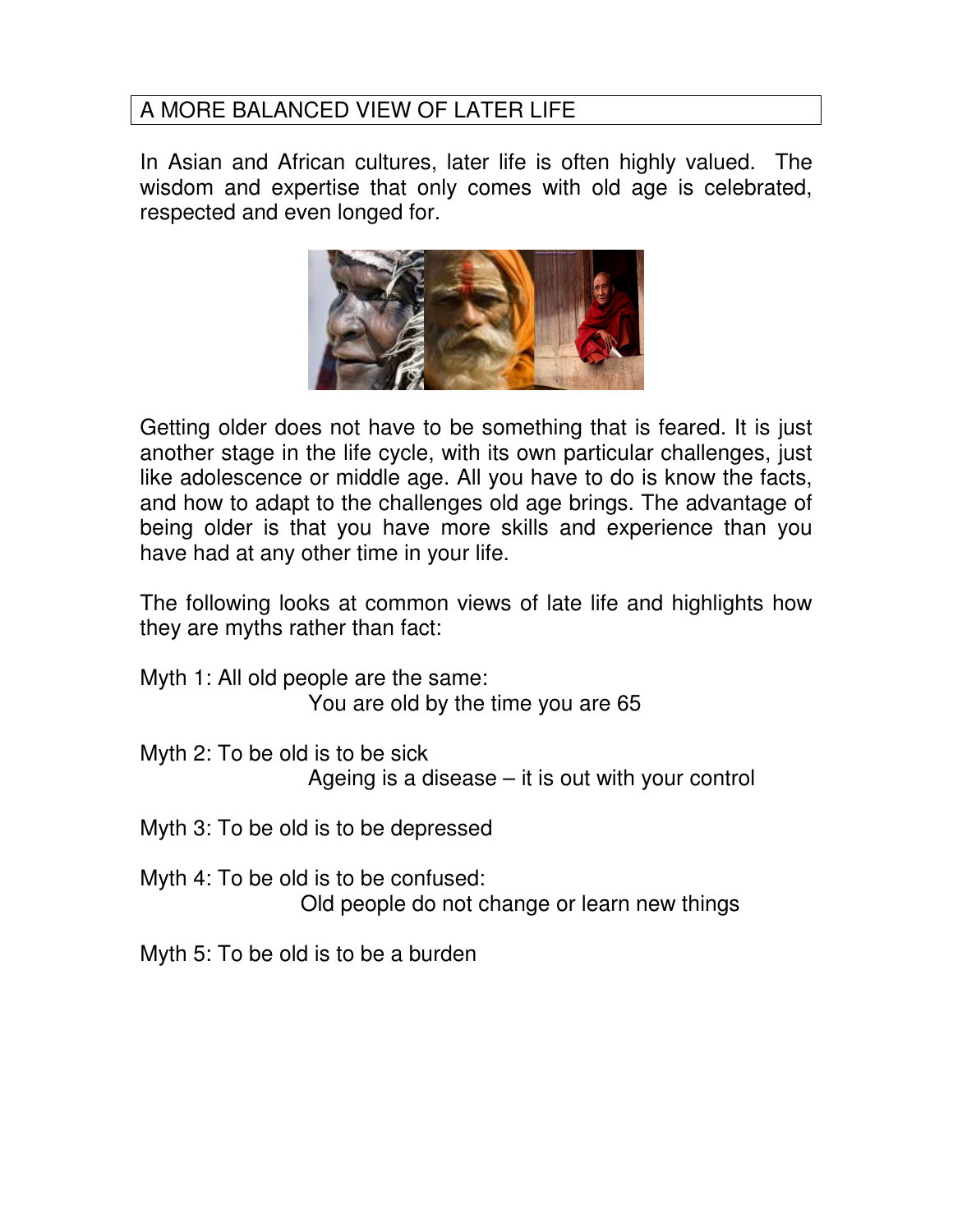# A MORE BALANCED VIEW OF LATER LIFE

In Asian and African cultures, later life is often highly valued. The wisdom and expertise that only comes with old age is celebrated, respected and even longed for.



Getting older does not have to be something that is feared. It is just another stage in the life cycle, with its own particular challenges, just like adolescence or middle age. All you have to do is know the facts, and how to adapt to the challenges old age brings. The advantage of being older is that you have more skills and experience than you have had at any other time in your life.

The following looks at common views of late life and highlights how they are myths rather than fact:

Myth 1: All old people are the same: You are old by the time you are 65

- Myth 2: To be old is to be sick Ageing is a disease – it is out with your control
- Myth 3: To be old is to be depressed

Myth 4: To be old is to be confused: Old people do not change or learn new things

Myth 5: To be old is to be a burden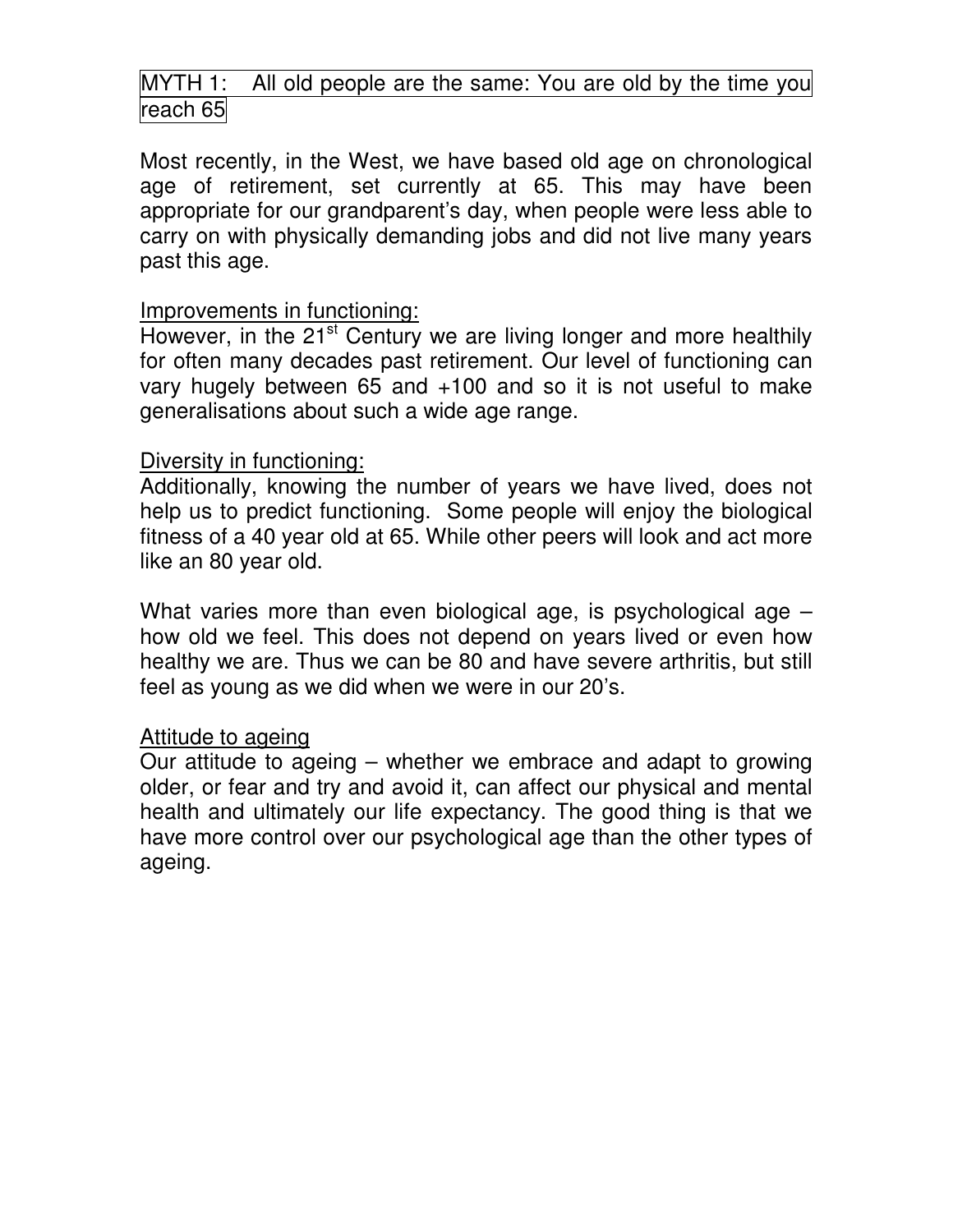# MYTH 1: All old people are the same: You are old by the time you reach 65

Most recently, in the West, we have based old age on chronological age of retirement, set currently at 65. This may have been appropriate for our grandparent's day, when people were less able to carry on with physically demanding jobs and did not live many years past this age.

#### Improvements in functioning:

However, in the 21<sup>st</sup> Century we are living longer and more healthily for often many decades past retirement. Our level of functioning can vary hugely between 65 and +100 and so it is not useful to make generalisations about such a wide age range.

#### Diversity in functioning:

Additionally, knowing the number of years we have lived, does not help us to predict functioning. Some people will enjoy the biological fitness of a 40 year old at 65. While other peers will look and act more like an 80 year old.

What varies more than even biological age, is psychological age – how old we feel. This does not depend on years lived or even how healthy we are. Thus we can be 80 and have severe arthritis, but still feel as young as we did when we were in our 20's.

#### Attitude to ageing

Our attitude to ageing – whether we embrace and adapt to growing older, or fear and try and avoid it, can affect our physical and mental health and ultimately our life expectancy. The good thing is that we have more control over our psychological age than the other types of ageing.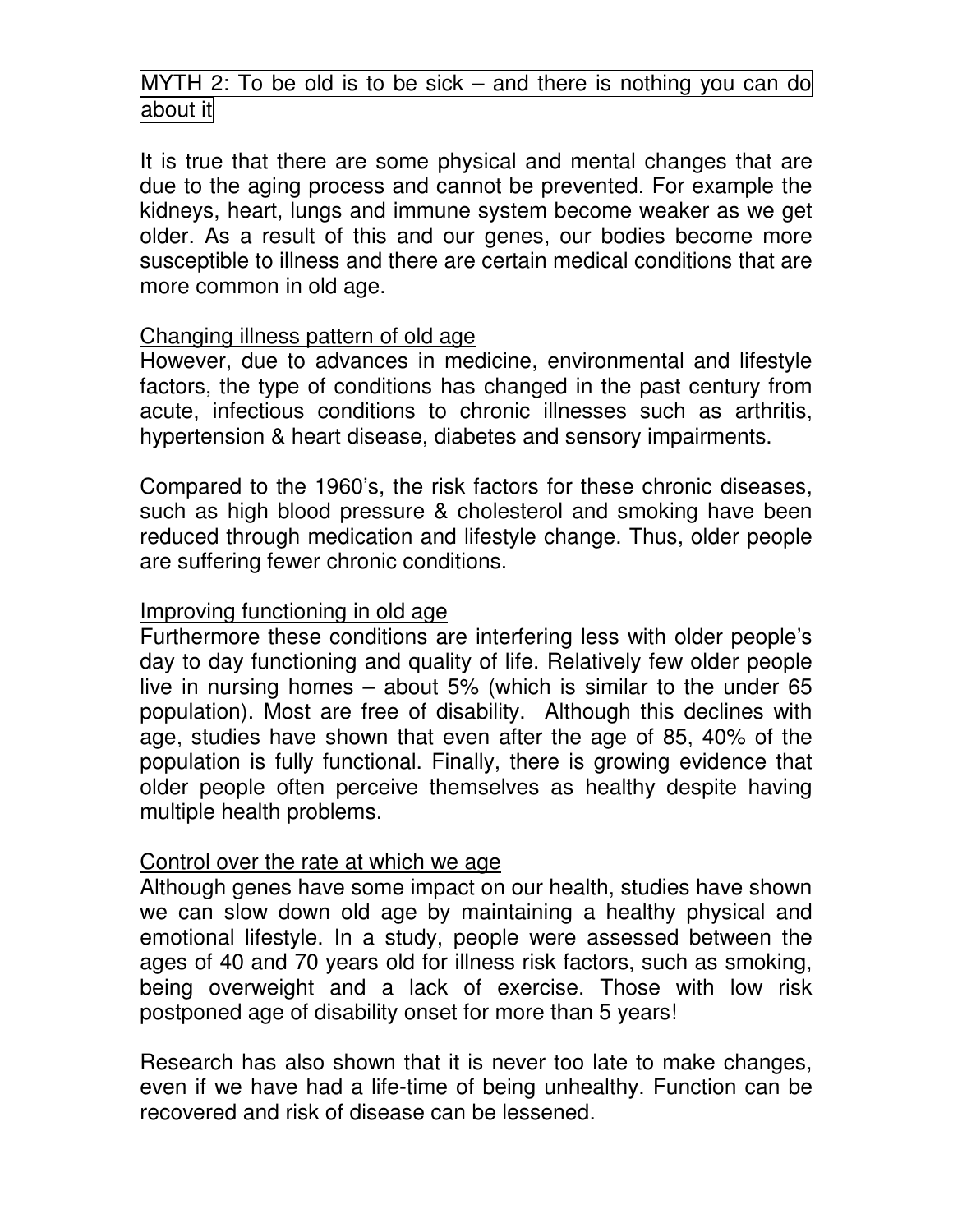# MYTH 2: To be old is to be sick – and there is nothing you can do about it

It is true that there are some physical and mental changes that are due to the aging process and cannot be prevented. For example the kidneys, heart, lungs and immune system become weaker as we get older. As a result of this and our genes, our bodies become more susceptible to illness and there are certain medical conditions that are more common in old age.

#### Changing illness pattern of old age

However, due to advances in medicine, environmental and lifestyle factors, the type of conditions has changed in the past century from acute, infectious conditions to chronic illnesses such as arthritis, hypertension & heart disease, diabetes and sensory impairments.

Compared to the 1960's, the risk factors for these chronic diseases, such as high blood pressure & cholesterol and smoking have been reduced through medication and lifestyle change. Thus, older people are suffering fewer chronic conditions.

#### Improving functioning in old age

Furthermore these conditions are interfering less with older people's day to day functioning and quality of life. Relatively few older people live in nursing homes – about 5% (which is similar to the under 65 population). Most are free of disability. Although this declines with age, studies have shown that even after the age of 85, 40% of the population is fully functional. Finally, there is growing evidence that older people often perceive themselves as healthy despite having multiple health problems.

#### Control over the rate at which we age

Although genes have some impact on our health, studies have shown we can slow down old age by maintaining a healthy physical and emotional lifestyle. In a study, people were assessed between the ages of 40 and 70 years old for illness risk factors, such as smoking, being overweight and a lack of exercise. Those with low risk postponed age of disability onset for more than 5 years!

Research has also shown that it is never too late to make changes, even if we have had a life-time of being unhealthy. Function can be recovered and risk of disease can be lessened.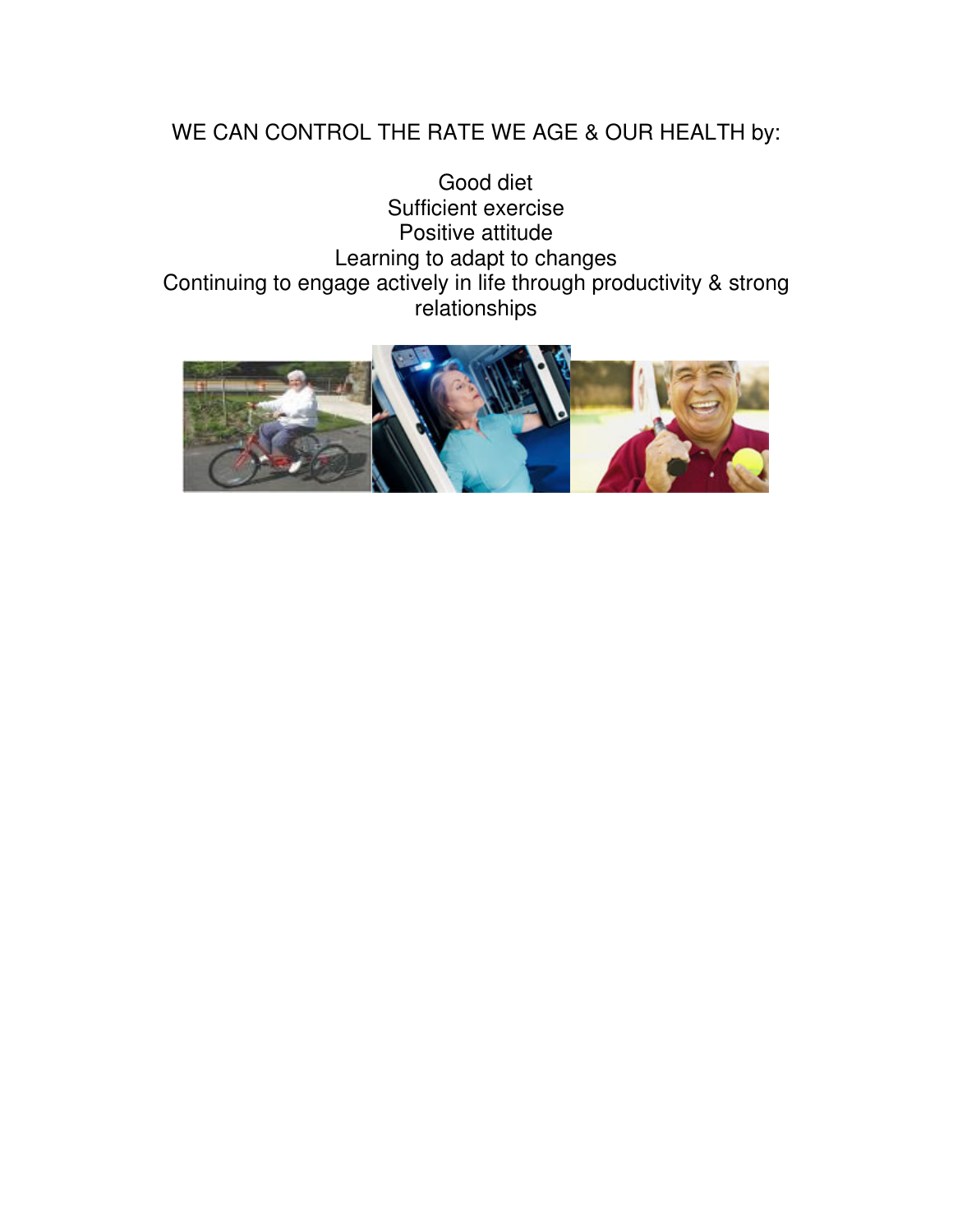# WE CAN CONTROL THE RATE WE AGE & OUR HEALTH by:

Good diet Sufficient exercise Positive attitude Learning to adapt to changes Continuing to engage actively in life through productivity & strong relationships

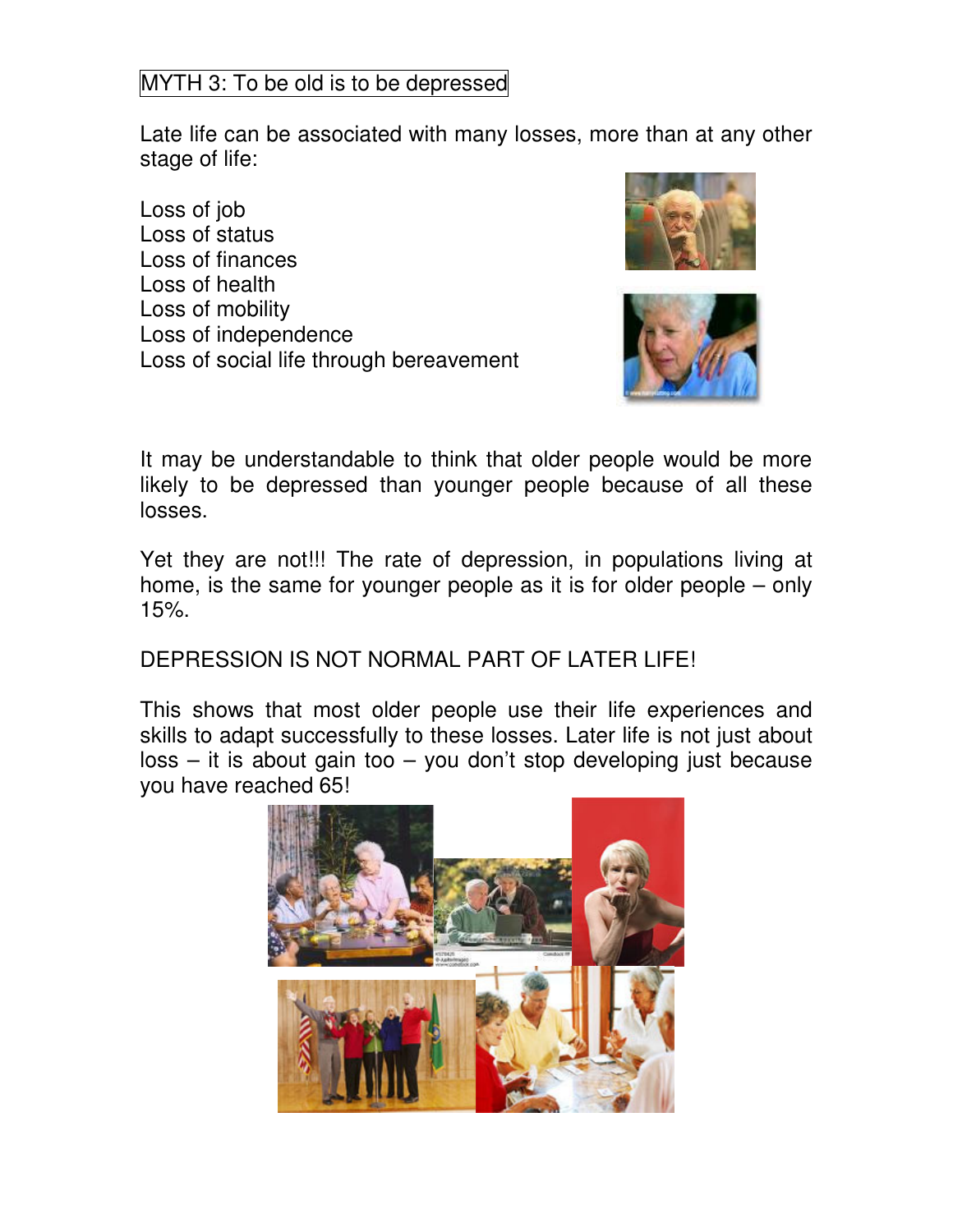# MYTH 3: To be old is to be depressed

Late life can be associated with many losses, more than at any other stage of life:

Loss of job Loss of status Loss of finances Loss of health Loss of mobility Loss of independence Loss of social life through bereavement





It may be understandable to think that older people would be more likely to be depressed than younger people because of all these losses.

Yet they are not!!! The rate of depression, in populations living at home, is the same for younger people as it is for older people – only 15%.

### DEPRESSION IS NOT NORMAL PART OF LATER LIFE!

This shows that most older people use their life experiences and skills to adapt successfully to these losses. Later life is not just about  $loss - it$  is about gain too  $-$  you don't stop developing just because you have reached 65!

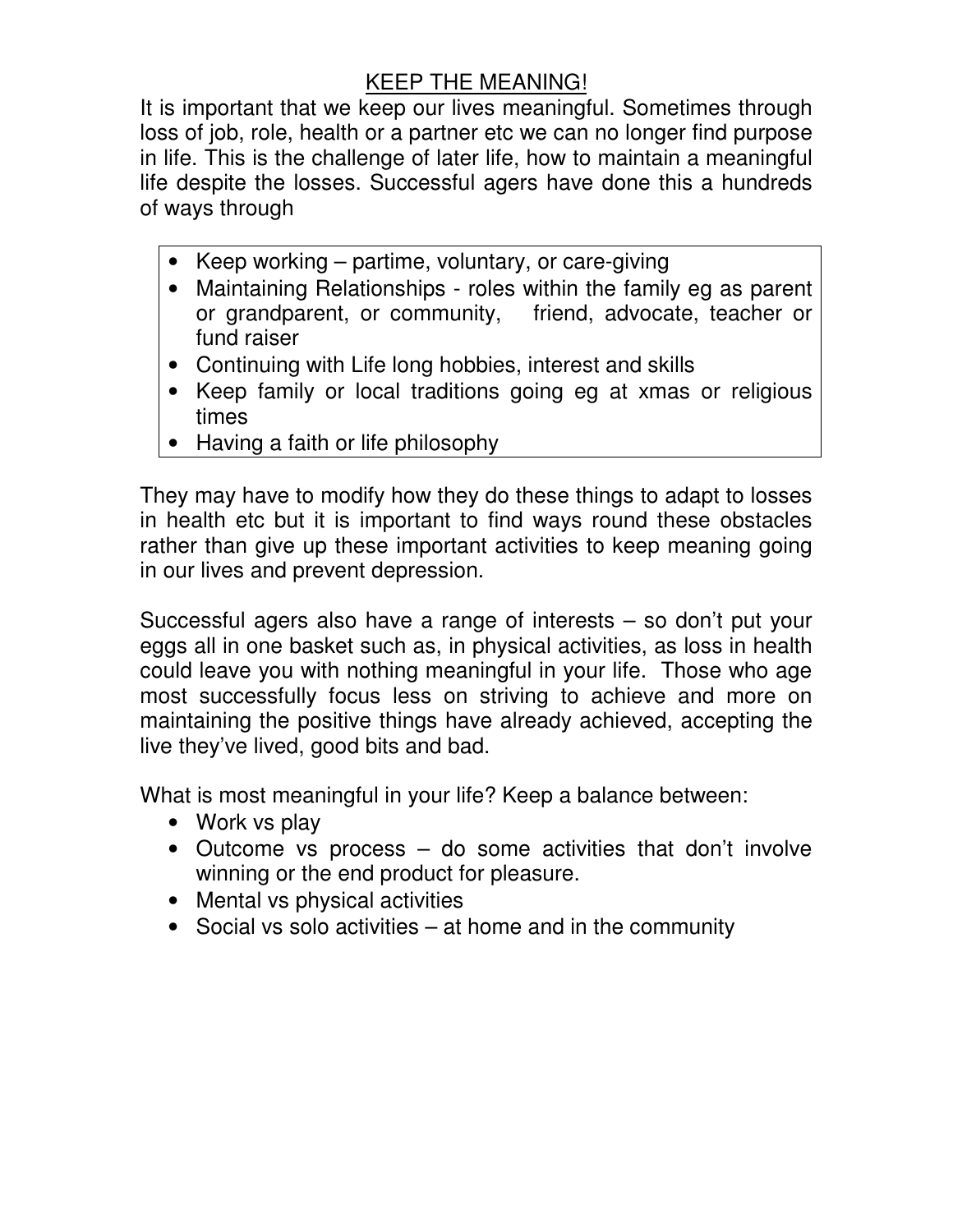# KEEP THE MEANING!

It is important that we keep our lives meaningful. Sometimes through loss of job, role, health or a partner etc we can no longer find purpose in life. This is the challenge of later life, how to maintain a meaningful life despite the losses. Successful agers have done this a hundreds of ways through

- Keep working partime, voluntary, or care-giving
- Maintaining Relationships roles within the family eg as parent or grandparent, or community, friend, advocate, teacher or fund raiser
- Continuing with Life long hobbies, interest and skills
- Keep family or local traditions going eg at xmas or religious times
- Having a faith or life philosophy

They may have to modify how they do these things to adapt to losses in health etc but it is important to find ways round these obstacles rather than give up these important activities to keep meaning going in our lives and prevent depression.

Successful agers also have a range of interests – so don't put your eggs all in one basket such as, in physical activities, as loss in health could leave you with nothing meaningful in your life. Those who age most successfully focus less on striving to achieve and more on maintaining the positive things have already achieved, accepting the live they've lived, good bits and bad.

What is most meaningful in your life? Keep a balance between:

- Work vs play
- Outcome vs process do some activities that don't involve winning or the end product for pleasure.
- Mental vs physical activities
- Social vs solo activities at home and in the community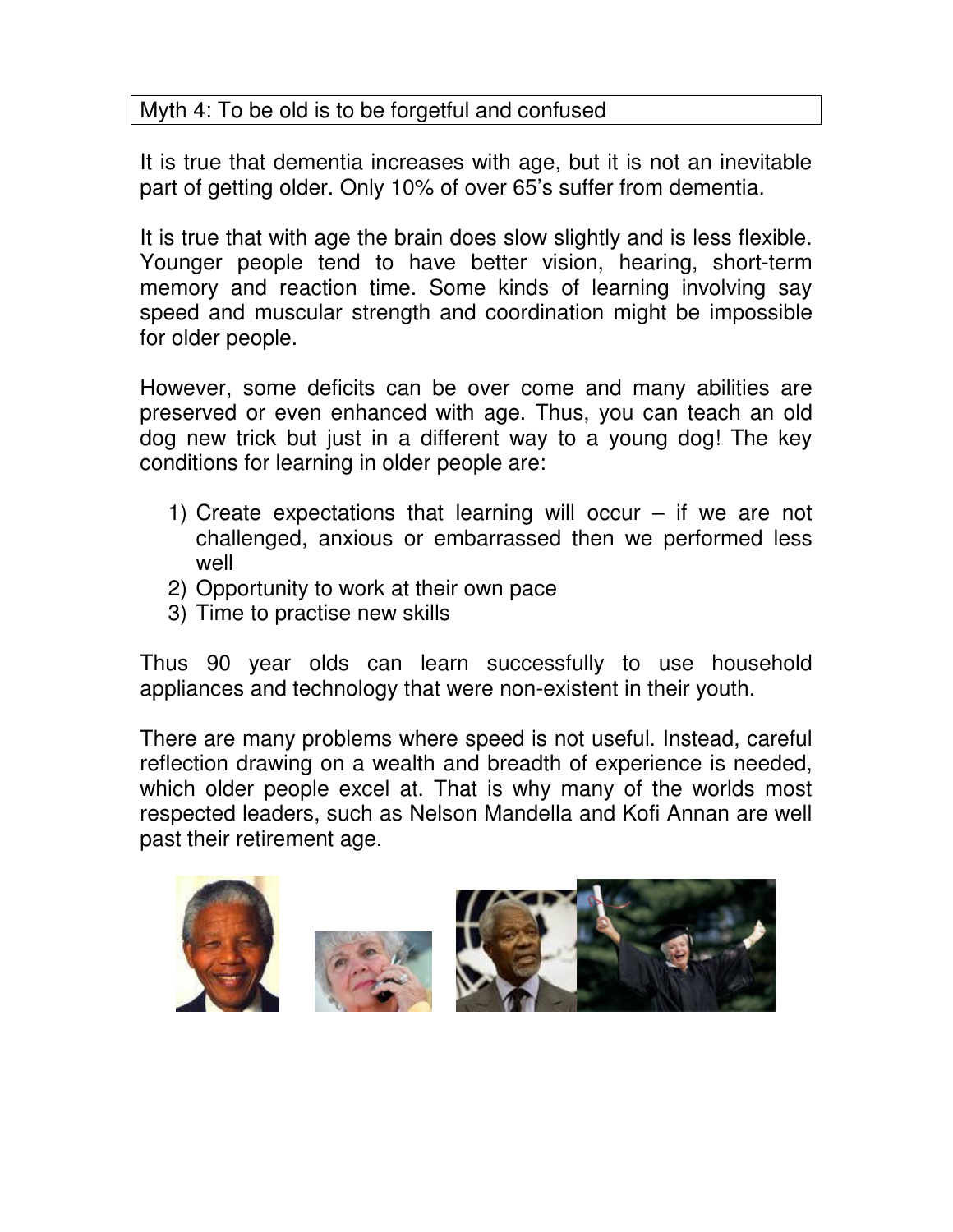# Myth 4: To be old is to be forgetful and confused

It is true that dementia increases with age, but it is not an inevitable part of getting older. Only 10% of over 65's suffer from dementia.

It is true that with age the brain does slow slightly and is less flexible. Younger people tend to have better vision, hearing, short-term memory and reaction time. Some kinds of learning involving say speed and muscular strength and coordination might be impossible for older people.

However, some deficits can be over come and many abilities are preserved or even enhanced with age. Thus, you can teach an old dog new trick but just in a different way to a young dog! The key conditions for learning in older people are:

- 1) Create expectations that learning will occur  $-$  if we are not challenged, anxious or embarrassed then we performed less well
- 2) Opportunity to work at their own pace
- 3) Time to practise new skills

Thus 90 year olds can learn successfully to use household appliances and technology that were non-existent in their youth.

There are many problems where speed is not useful. Instead, careful reflection drawing on a wealth and breadth of experience is needed, which older people excel at. That is why many of the worlds most respected leaders, such as Nelson Mandella and Kofi Annan are well past their retirement age.

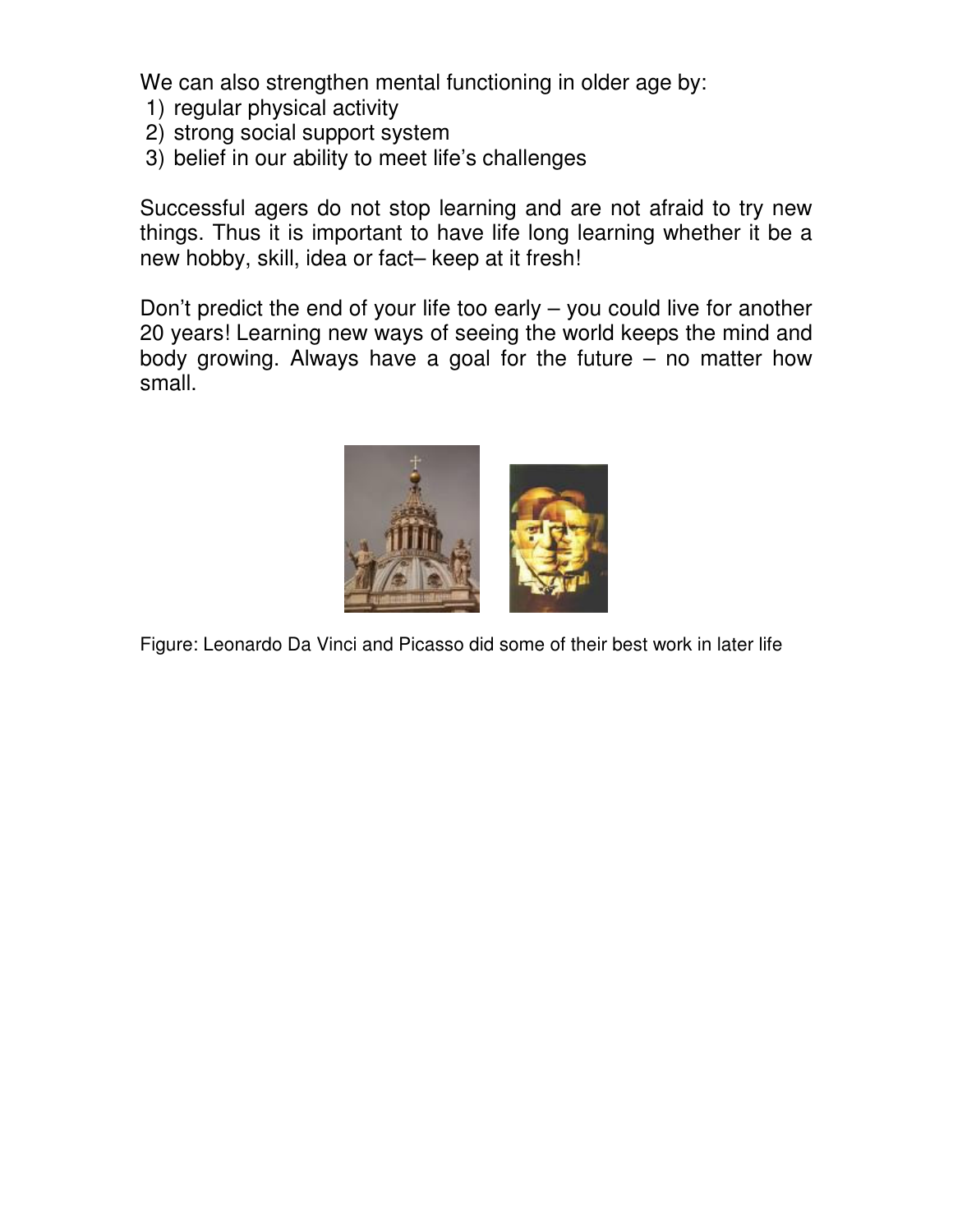We can also strengthen mental functioning in older age by:

- 1) regular physical activity
- 2) strong social support system
- 3) belief in our ability to meet life's challenges

Successful agers do not stop learning and are not afraid to try new things. Thus it is important to have life long learning whether it be a new hobby, skill, idea or fact– keep at it fresh!

Don't predict the end of your life too early – you could live for another 20 years! Learning new ways of seeing the world keeps the mind and body growing. Always have a goal for the future – no matter how small.



Figure: Leonardo Da Vinci and Picasso did some of their best work in later life